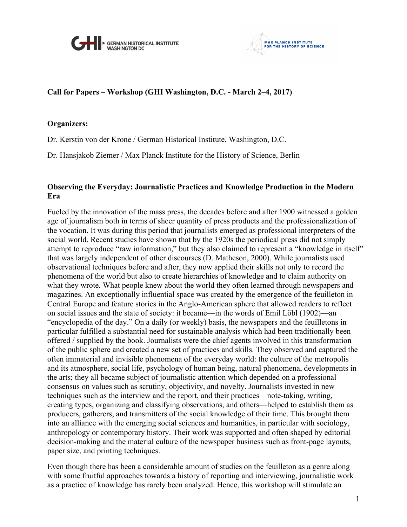



## **Call for Papers – Workshop (GHI Washington, D.C. - March 2–4, 2017)**

## **Organizers:**

Dr. Kerstin von der Krone / German Historical Institute, Washington, D.C.

Dr. Hansjakob Ziemer / Max Planck Institute for the History of Science, Berlin

## **Observing the Everyday: Journalistic Practices and Knowledge Production in the Modern Era**

Fueled by the innovation of the mass press, the decades before and after 1900 witnessed a golden age of journalism both in terms of sheer quantity of press products and the professionalization of the vocation. It was during this period that journalists emerged as professional interpreters of the social world. Recent studies have shown that by the 1920s the periodical press did not simply attempt to reproduce "raw information," but they also claimed to represent a "knowledge in itself" that was largely independent of other discourses (D. Matheson, 2000). While journalists used observational techniques before and after, they now applied their skills not only to record the phenomena of the world but also to create hierarchies of knowledge and to claim authority on what they wrote. What people knew about the world they often learned through newspapers and magazines. An exceptionally influential space was created by the emergence of the feuilleton in Central Europe and feature stories in the Anglo-American sphere that allowed readers to reflect on social issues and the state of society: it became—in the words of Emil Löbl (1902)—an "encyclopedia of the day." On a daily (or weekly) basis, the newspapers and the feuilletons in particular fulfilled a substantial need for sustainable analysis which had been traditionally been offered / supplied by the book. Journalists were the chief agents involved in this transformation of the public sphere and created a new set of practices and skills. They observed and captured the often immaterial and invisible phenomena of the everyday world: the culture of the metropolis and its atmosphere, social life, psychology of human being, natural phenomena, developments in the arts; they all became subject of journalistic attention which depended on a professional consensus on values such as scrutiny, objectivity, and novelty. Journalists invested in new techniques such as the interview and the report, and their practices—note-taking, writing, creating types, organizing and classifying observations, and others—helped to establish them as producers, gatherers, and transmitters of the social knowledge of their time. This brought them into an alliance with the emerging social sciences and humanities, in particular with sociology, anthropology or contemporary history. Their work was supported and often shaped by editorial decision-making and the material culture of the newspaper business such as front-page layouts, paper size, and printing techniques.

Even though there has been a considerable amount of studies on the feuilleton as a genre along with some fruitful approaches towards a history of reporting and interviewing, journalistic work as a practice of knowledge has rarely been analyzed. Hence, this workshop will stimulate an